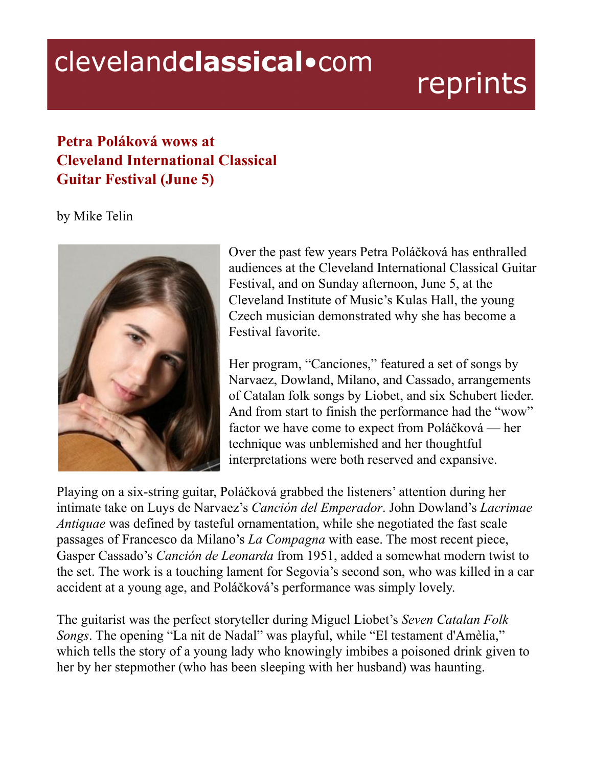## clevelandclassical.com

## reprints

## **Petra Poláková wows at Cleveland International Classical Guitar Festival (June 5)**

by Mike Telin



Over the past few years Petra Poláčková has enthralled audiences at the Cleveland International Classical Guitar Festival, and on Sunday afternoon, June 5, at the Cleveland Institute of Music's Kulas Hall, the young Czech musician demonstrated why she has become a Festival favorite.

Her program, "Canciones," featured a set of songs by Narvaez, Dowland, Milano, and Cassado, arrangements of Catalan folk songs by Liobet, and six Schubert lieder. And from start to finish the performance had the "wow" factor we have come to expect from Poláčková — her technique was unblemished and her thoughtful interpretations were both reserved and expansive.

Playing on a six-string guitar, Poláčková grabbed the listeners' attention during her intimate take on Luys de Narvaez's *Canción del Emperador*. John Dowland's *Lacrimae Antiquae* was defined by tasteful ornamentation, while she negotiated the fast scale passages of Francesco da Milano's *La Compagna* with ease. The most recent piece, Gasper Cassado's *Canción de Leonarda* from 1951, added a somewhat modern twist to the set. The work is a touching lament for Segovia's second son, who was killed in a car accident at a young age, and Poláčková's performance was simply lovely.

The guitarist was the perfect storyteller during Miguel Liobet's *Seven Catalan Folk Songs*. The opening "La nit de Nadal" was playful, while "El testament d'Amèlia," which tells the story of a young lady who knowingly imbibes a poisoned drink given to her by her stepmother (who has been sleeping with her husband) was haunting.